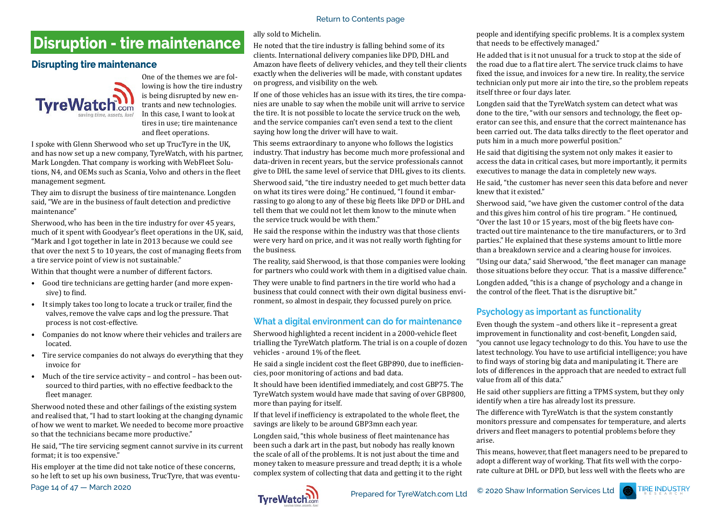## **Disruption - tire maintenance**

### **Disrupting tire maintenance**



One of the themes we are following is how the tire industry is being disrupted by new entrants and new technologies. In this case, I want to look at tires in use; tire maintenance and fleet operations.

I spoke with Glenn Sherwood who set up TrucTyre in the UK, and has now set up a new company, TyreWatch, with his partner, Mark Longden. That company is working with WebFleet Solutions, N4, and OEMs such as Scania, Volvo and others in the fleet management segment.

They aim to disrupt the business of tire maintenance. Longden said, "We are in the business of fault detection and predictive maintenance"

Sherwood, who has been in the tire industry for over 45 years, much of it spent with Goodyear's fleet operations in the UK, said, "Mark and I got together in late in 2013 because we could see that over the next 5 to 10 years, the cost of managing fleets from a tire service point of view is not sustainable."

Within that thought were a number of different factors.

- Good tire technicians are getting harder (and more expensive) to find.
- It simply takes too long to locate a truck or trailer, find the valves, remove the valve caps and log the pressure. That process is not cost-effective.
- Companies do not know where their vehicles and trailers are located.
- Tire service companies do not always do everything that they invoice for
- Much of the tire service activity and control has been outsourced to third parties, with no effective feedback to the fleet manager.

Sherwood noted these and other failings of the existing system and realised that, "I had to start looking at the changing dynamic of how we went to market. We needed to become more proactive so that the technicians became more productive."

He said, "The tire servicing segment cannot survive in its current format; it is too expensive."

Page 14 of 47 – March 2020<br> **TyreWatch** Prepared for TyreWatch.com Ltd © 2020 Shaw Information Services Ltd His employer at the time did not take notice of these concerns, so he left to set up his own business, TrucTyre, that was eventu-

#### ally sold to Michelin.

He noted that the tire industry is falling behind some of its clients. International delivery companies like DPD, DHL and Amazon have fleets of delivery vehicles, and they tell their clients exactly when the deliveries will be made, with constant updates on progress, and visibility on the web.

If one of those vehicles has an issue with its tires, the tire companies are unable to say when the mobile unit will arrive to service the tire. It is not possible to locate the service truck on the web, and the service companies can't even send a text to the client saying how long the driver will have to wait.

This seems extraordinary to anyone who follows the logistics industry. That industry has become much more professional and data-driven in recent years, but the service professionals cannot give to DHL the same level of service that DHL gives to its clients.

Sherwood said, "the tire industry needed to get much better data on what its tires were doing." He continued, "I found it embarrassing to go along to any of these big fleets like DPD or DHL and tell them that we could not let them know to the minute when the service truck would be with them."

He said the response within the industry was that those clients were very hard on price, and it was not really worth fighting for the business.

The reality, said Sherwood, is that those companies were looking for partners who could work with them in a digitised value chain.

They were unable to find partners in the tire world who had a business that could connect with their own digital business environment, so almost in despair, they focussed purely on price.

#### **What a digital environment can do for maintenance**

Sherwood highlighted a recent incident in a 2000-vehicle fleet trialling the TyreWatch platform. The trial is on a couple of dozen vehicles - around 1% of the fleet.

He said a single incident cost the fleet GBP890, due to inefficiencies, poor monitoring of actions and bad data.

It should have been identified immediately, and cost GBP75. The TyreWatch system would have made that saving of over GBP800, more than paying for itself.

If that level if inefficiency is extrapolated to the whole fleet, the savings are likely to be around GBP3mn each year.

Longden said, "this whole business of fleet maintenance has been such a dark art in the past, but nobody has really known the scale of all of the problems. It is not just about the time and money taken to measure pressure and tread depth; it is a whole complex system of collecting that data and getting it to the right





people and identifying specific problems. It is a complex system that needs to be effectively managed."

He added that is it not unusual for a truck to stop at the side of the road due to a flat tire alert. The service truck claims to have fixed the issue, and invoices for a new tire. In reality, the service technician only put more air into the tire, so the problem repeats itself three or four days later.

Longden said that the TyreWatch system can detect what was done to the tire, "with our sensors and technology, the fleet operator can see this, and ensure that the correct maintenance has been carried out. The data talks directly to the fleet operator and puts him in a much more powerful position."

He said that digitising the system not only makes it easier to access the data in critical cases, but more importantly, it permits executives to manage the data in completely new ways.

He said, "the customer has never seen this data before and never knew that it existed."

Sherwood said, "we have given the customer control of the data and this gives him control of his tire program. " He continued, "Over the last 10 or 15 years, most of the big fleets have contracted out tire maintenance to the tire manufacturers, or to 3rd parties." He explained that these systems amount to little more than a breakdown service and a clearing house for invoices.

"Using our data," said Sherwood, "the fleet manager can manage those situations before they occur. That is a massive difference."

Longden added, "this is a change of psychology and a change in the control of the fleet. That is the disruptive bit."

### **Psychology as important as functionality**

Even though the system –and others like it –represent a great improvement in functionality and cost-benefit, Longden said, "you cannot use legacy technology to do this. You have to use the latest technology. You have to use artificial intelligence; you have to find ways of storing big data and manipulating it. There are lots of differences in the approach that are needed to extract full value from all of this data." Resume to Contents page<br>
Results that the dealed that term between the state of the contents in the state of the contents of the contents of the contents of the contents of the contents of the state of the state of the st

He said other suppliers are fitting a TPMS system, but they only identify when a tire has already lost its pressure.

The difference with TyreWatch is that the system constantly monitors pressure and compensates for temperature, and alerts drivers and fleet managers to potential problems before they arise.

This means, however, that fleet managers need to be prepared to adopt a different way of working. That fits well with the corporate culture at DHL or DPD, but less well with the fleets who are